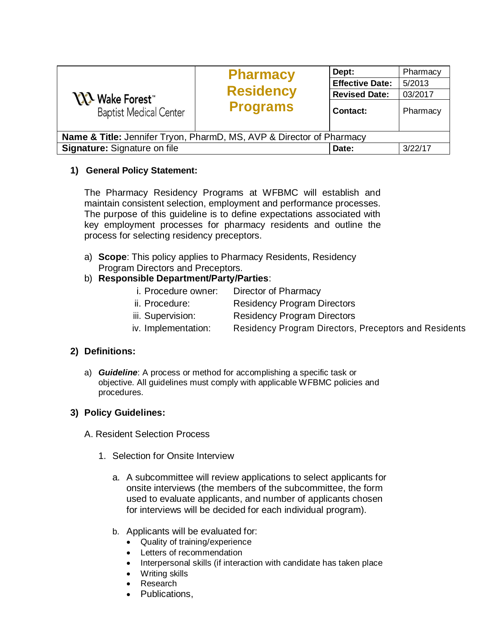| <b>YY's Wake Forest</b><br><b>Baptist Medical Center</b>                        | <b>Pharmacy</b><br><b>Residency</b><br><b>Programs</b> | Dept:<br><b>Effective Date:</b><br><b>Revised Date:</b><br><b>Contact:</b> | Pharmacy<br>5/2013<br>03/2017<br>Pharmacy |
|---------------------------------------------------------------------------------|--------------------------------------------------------|----------------------------------------------------------------------------|-------------------------------------------|
| <b>Name &amp; Title:</b> Jennifer Tryon, PharmD, MS, AVP & Director of Pharmacy |                                                        |                                                                            |                                           |
| Signature: Signature on file                                                    |                                                        | Date:                                                                      | 3/22/17                                   |

## **1) General Policy Statement:**

The Pharmacy Residency Programs at WFBMC will establish and maintain consistent selection, employment and performance processes. The purpose of this guideline is to define expectations associated with key employment processes for pharmacy residents and outline the process for selecting residency preceptors.

a) **Scope**: This policy applies to Pharmacy Residents, Residency Program Directors and Preceptors.

## b) **Responsible Department/Party/Parties**:

- i. Procedure owner: Director of Pharmacy
- ii. Procedure: Residency Program Directors
- iii. Supervision: Residency Program Directors
- iv. Implementation: Residency Program Directors, Preceptors and Residents

## **2) Definitions:**

a) *Guideline*: A process or method for accomplishing a specific task or objective. All guidelines must comply with applicable WFBMC policies and procedures.

## **3) Policy Guidelines:**

- A. Resident Selection Process
	- 1. Selection for Onsite Interview
		- a. A subcommittee will review applications to select applicants for onsite interviews (the members of the subcommittee, the form used to evaluate applicants, and number of applicants chosen for interviews will be decided for each individual program).
		- b. Applicants will be evaluated for:
			- Quality of training/experience
			- Letters of recommendation
			- Interpersonal skills (if interaction with candidate has taken place
			- Writing skills
			- Research
			- Publications,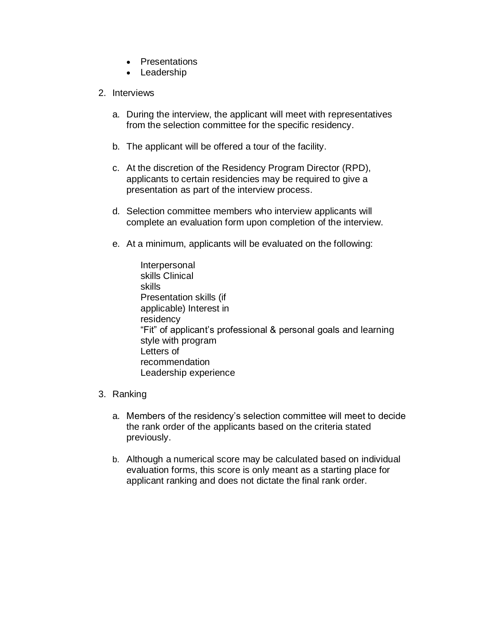- Presentations
- Leadership
- 2. Interviews
	- a. During the interview, the applicant will meet with representatives from the selection committee for the specific residency.
	- b. The applicant will be offered a tour of the facility.
	- c. At the discretion of the Residency Program Director (RPD), applicants to certain residencies may be required to give a presentation as part of the interview process.
	- d. Selection committee members who interview applicants will complete an evaluation form upon completion of the interview.
	- e. At a minimum, applicants will be evaluated on the following:
		- Interpersonal skills Clinical skills Presentation skills (if applicable) Interest in residency "Fit" of applicant's professional & personal goals and learning style with program Letters of recommendation Leadership experience
- 3. Ranking
	- a. Members of the residency's selection committee will meet to decide the rank order of the applicants based on the criteria stated previously.
	- b. Although a numerical score may be calculated based on individual evaluation forms, this score is only meant as a starting place for applicant ranking and does not dictate the final rank order.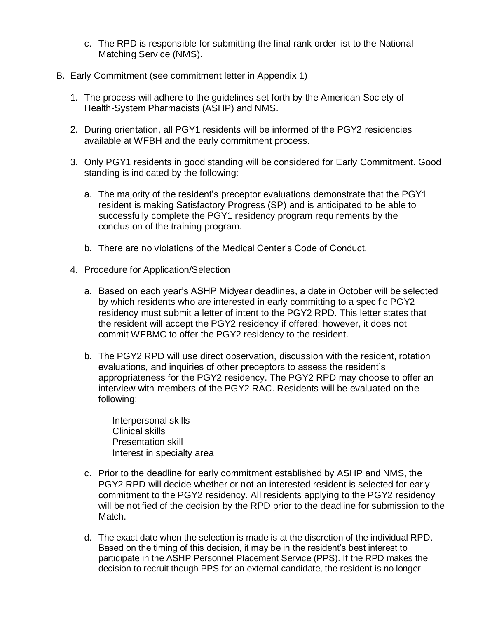- c. The RPD is responsible for submitting the final rank order list to the National Matching Service (NMS).
- B. Early Commitment (see commitment letter in Appendix 1)
	- 1. The process will adhere to the guidelines set forth by the American Society of Health-System Pharmacists (ASHP) and NMS.
	- 2. During orientation, all PGY1 residents will be informed of the PGY2 residencies available at WFBH and the early commitment process.
	- 3. Only PGY1 residents in good standing will be considered for Early Commitment. Good standing is indicated by the following:
		- a. The majority of the resident's preceptor evaluations demonstrate that the PGY1 resident is making Satisfactory Progress (SP) and is anticipated to be able to successfully complete the PGY1 residency program requirements by the conclusion of the training program.
		- b. There are no violations of the Medical Center's Code of Conduct.
	- 4. Procedure for Application/Selection
		- a. Based on each year's ASHP Midyear deadlines, a date in October will be selected by which residents who are interested in early committing to a specific PGY2 residency must submit a letter of intent to the PGY2 RPD. This letter states that the resident will accept the PGY2 residency if offered; however, it does not commit WFBMC to offer the PGY2 residency to the resident.
		- b. The PGY2 RPD will use direct observation, discussion with the resident, rotation evaluations, and inquiries of other preceptors to assess the resident's appropriateness for the PGY2 residency. The PGY2 RPD may choose to offer an interview with members of the PGY2 RAC. Residents will be evaluated on the following:

Interpersonal skills Clinical skills Presentation skill Interest in specialty area

- c. Prior to the deadline for early commitment established by ASHP and NMS, the PGY2 RPD will decide whether or not an interested resident is selected for early commitment to the PGY2 residency. All residents applying to the PGY2 residency will be notified of the decision by the RPD prior to the deadline for submission to the Match.
- d. The exact date when the selection is made is at the discretion of the individual RPD. Based on the timing of this decision, it may be in the resident's best interest to participate in the ASHP Personnel Placement Service (PPS). If the RPD makes the decision to recruit though PPS for an external candidate, the resident is no longer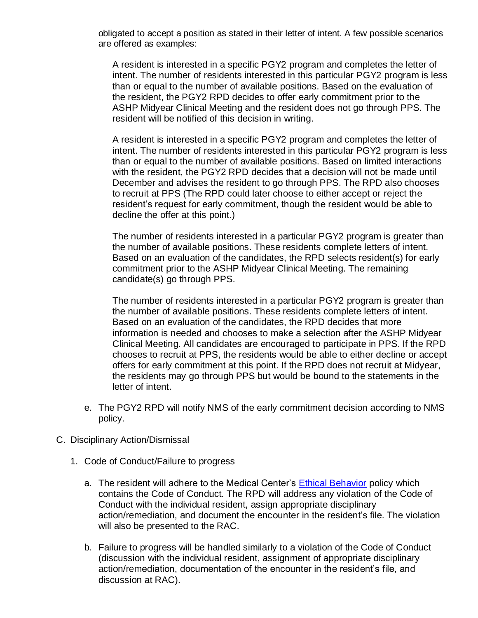obligated to accept a position as stated in their letter of intent. A few possible scenarios are offered as examples:

A resident is interested in a specific PGY2 program and completes the letter of intent. The number of residents interested in this particular PGY2 program is less than or equal to the number of available positions. Based on the evaluation of the resident, the PGY2 RPD decides to offer early commitment prior to the ASHP Midyear Clinical Meeting and the resident does not go through PPS. The resident will be notified of this decision in writing.

A resident is interested in a specific PGY2 program and completes the letter of intent. The number of residents interested in this particular PGY2 program is less than or equal to the number of available positions. Based on limited interactions with the resident, the PGY2 RPD decides that a decision will not be made until December and advises the resident to go through PPS. The RPD also chooses to recruit at PPS (The RPD could later choose to either accept or reject the resident's request for early commitment, though the resident would be able to decline the offer at this point.)

The number of residents interested in a particular PGY2 program is greater than the number of available positions. These residents complete letters of intent. Based on an evaluation of the candidates, the RPD selects resident(s) for early commitment prior to the ASHP Midyear Clinical Meeting. The remaining candidate(s) go through PPS.

The number of residents interested in a particular PGY2 program is greater than the number of available positions. These residents complete letters of intent. Based on an evaluation of the candidates, the RPD decides that more information is needed and chooses to make a selection after the ASHP Midyear Clinical Meeting. All candidates are encouraged to participate in PPS. If the RPD chooses to recruit at PPS, the residents would be able to either decline or accept offers for early commitment at this point. If the RPD does not recruit at Midyear, the residents may go through PPS but would be bound to the statements in the letter of intent.

- e. The PGY2 RPD will notify NMS of the early commitment decision according to NMS policy.
- C. Disciplinary Action/Dismissal
	- 1. Code of Conduct/Failure to progress
		- a. The resident will adhere to the Medical Center's Ethical Behavior policy which contains the Code of Conduct. The RPD will address any violation of the Code of Conduct with the individual resident, assign appropriate disciplinary action/remediation, and document the encounter in the resident's file. The violation will also be presented to the RAC.
		- b. Failure to progress will be handled similarly to a violation of the Code of Conduct (discussion with the individual resident, assignment of appropriate disciplinary action/remediation, documentation of the encounter in the resident's file, and discussion at RAC).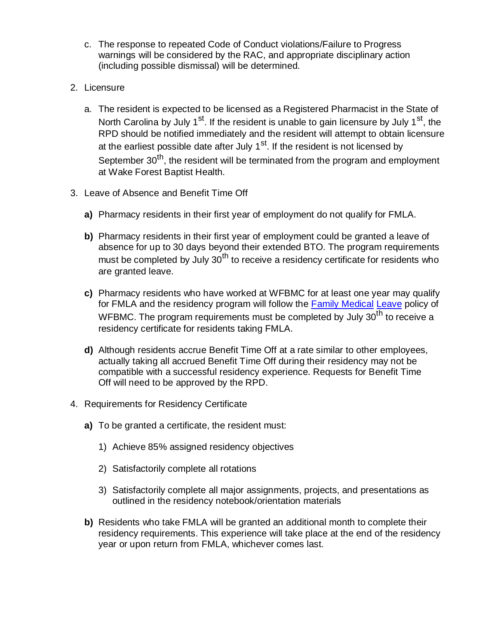- c. The response to repeated Code of Conduct violations/Failure to Progress warnings will be considered by the RAC, and appropriate disciplinary action (including possible dismissal) will be determined.
- 2. Licensure
	- a. The resident is expected to be licensed as a Registered Pharmacist in the State of North Carolina by July 1<sup>st</sup>. If the resident is unable to gain licensure by July 1<sup>st</sup>, the RPD should be notified immediately and the resident will attempt to obtain licensure at the earliest possible date after July  $1<sup>st</sup>$ . If the resident is not licensed by September 30<sup>th</sup>, the resident will be terminated from the program and employment at Wake Forest Baptist Health.
- 3. Leave of Absence and Benefit Time Off
	- **a)** Pharmacy residents in their first year of employment do not qualify for FMLA.
	- **b)** Pharmacy residents in their first year of employment could be granted a leave of absence for up to 30 days beyond their extended BTO. The program requirements must be completed by July  $30<sup>th</sup>$  to receive a residency certificate for residents who are granted leave.
	- **c)** Pharmacy residents who have worked at WFBMC for at least one year may qualify for FMLA and the residency program will follow the Family Medical Leave policy of WFBMC. The program requirements must be completed by July  $30^{th}$  to receive a residency certificate for residents taking FMLA.
	- **d)** Although residents accrue Benefit Time Off at a rate similar to other employees, actually taking all accrued Benefit Time Off during their residency may not be compatible with a successful residency experience. Requests for Benefit Time Off will need to be approved by the RPD.
- 4. Requirements for Residency Certificate
	- **a)** To be granted a certificate, the resident must:
		- 1) Achieve 85% assigned residency objectives
		- 2) Satisfactorily complete all rotations
		- 3) Satisfactorily complete all major assignments, projects, and presentations as outlined in the residency notebook/orientation materials
	- **b)** Residents who take FMLA will be granted an additional month to complete their residency requirements. This experience will take place at the end of the residency year or upon return from FMLA, whichever comes last.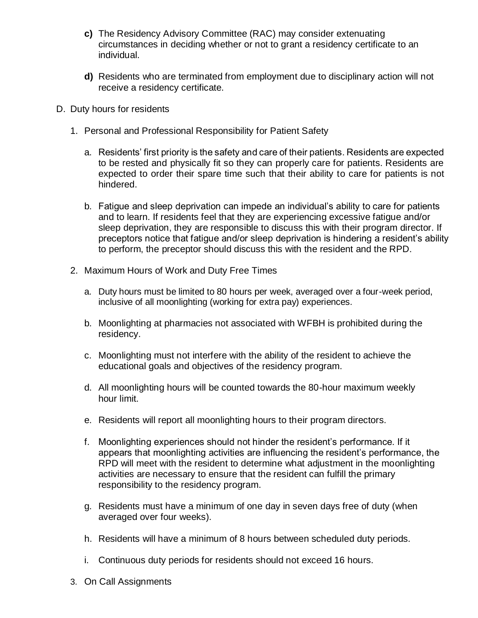- **c)** The Residency Advisory Committee (RAC) may consider extenuating circumstances in deciding whether or not to grant a residency certificate to an individual.
- **d)** Residents who are terminated from employment due to disciplinary action will not receive a residency certificate.
- D. Duty hours for residents
	- 1. Personal and Professional Responsibility for Patient Safety
		- a. Residents' first priority is the safety and care of their patients. Residents are expected to be rested and physically fit so they can properly care for patients. Residents are expected to order their spare time such that their ability to care for patients is not hindered.
		- b. Fatigue and sleep deprivation can impede an individual's ability to care for patients and to learn. If residents feel that they are experiencing excessive fatigue and/or sleep deprivation, they are responsible to discuss this with their program director. If preceptors notice that fatigue and/or sleep deprivation is hindering a resident's ability to perform, the preceptor should discuss this with the resident and the RPD.
	- 2. Maximum Hours of Work and Duty Free Times
		- a. Duty hours must be limited to 80 hours per week, averaged over a four-week period, inclusive of all moonlighting (working for extra pay) experiences.
		- b. Moonlighting at pharmacies not associated with WFBH is prohibited during the residency.
		- c. Moonlighting must not interfere with the ability of the resident to achieve the educational goals and objectives of the residency program.
		- d. All moonlighting hours will be counted towards the 80-hour maximum weekly hour limit.
		- e. Residents will report all moonlighting hours to their program directors.
		- f. Moonlighting experiences should not hinder the resident's performance. If it appears that moonlighting activities are influencing the resident's performance, the RPD will meet with the resident to determine what adjustment in the moonlighting activities are necessary to ensure that the resident can fulfill the primary responsibility to the residency program.
		- g. Residents must have a minimum of one day in seven days free of duty (when averaged over four weeks).
		- h. Residents will have a minimum of 8 hours between scheduled duty periods.
		- i. Continuous duty periods for residents should not exceed 16 hours.
	- 3. On Call Assignments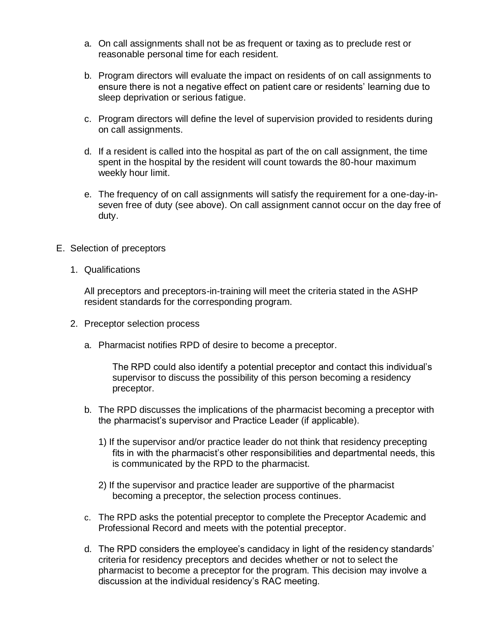- a. On call assignments shall not be as frequent or taxing as to preclude rest or reasonable personal time for each resident.
- b. Program directors will evaluate the impact on residents of on call assignments to ensure there is not a negative effect on patient care or residents' learning due to sleep deprivation or serious fatigue.
- c. Program directors will define the level of supervision provided to residents during on call assignments.
- d. If a resident is called into the hospital as part of the on call assignment, the time spent in the hospital by the resident will count towards the 80-hour maximum weekly hour limit.
- e. The frequency of on call assignments will satisfy the requirement for a one-day-inseven free of duty (see above). On call assignment cannot occur on the day free of duty.
- E. Selection of preceptors
	- 1. Qualifications

All preceptors and preceptors-in-training will meet the criteria stated in the ASHP resident standards for the corresponding program.

- 2. Preceptor selection process
	- a. Pharmacist notifies RPD of desire to become a preceptor.

The RPD could also identify a potential preceptor and contact this individual's supervisor to discuss the possibility of this person becoming a residency preceptor.

- b. The RPD discusses the implications of the pharmacist becoming a preceptor with the pharmacist's supervisor and Practice Leader (if applicable).
	- 1) If the supervisor and/or practice leader do not think that residency precepting fits in with the pharmacist's other responsibilities and departmental needs, this is communicated by the RPD to the pharmacist.
	- 2) If the supervisor and practice leader are supportive of the pharmacist becoming a preceptor, the selection process continues.
- c. The RPD asks the potential preceptor to complete the Preceptor Academic and Professional Record and meets with the potential preceptor.
- d. The RPD considers the employee's candidacy in light of the residency standards' criteria for residency preceptors and decides whether or not to select the pharmacist to become a preceptor for the program. This decision may involve a discussion at the individual residency's RAC meeting.